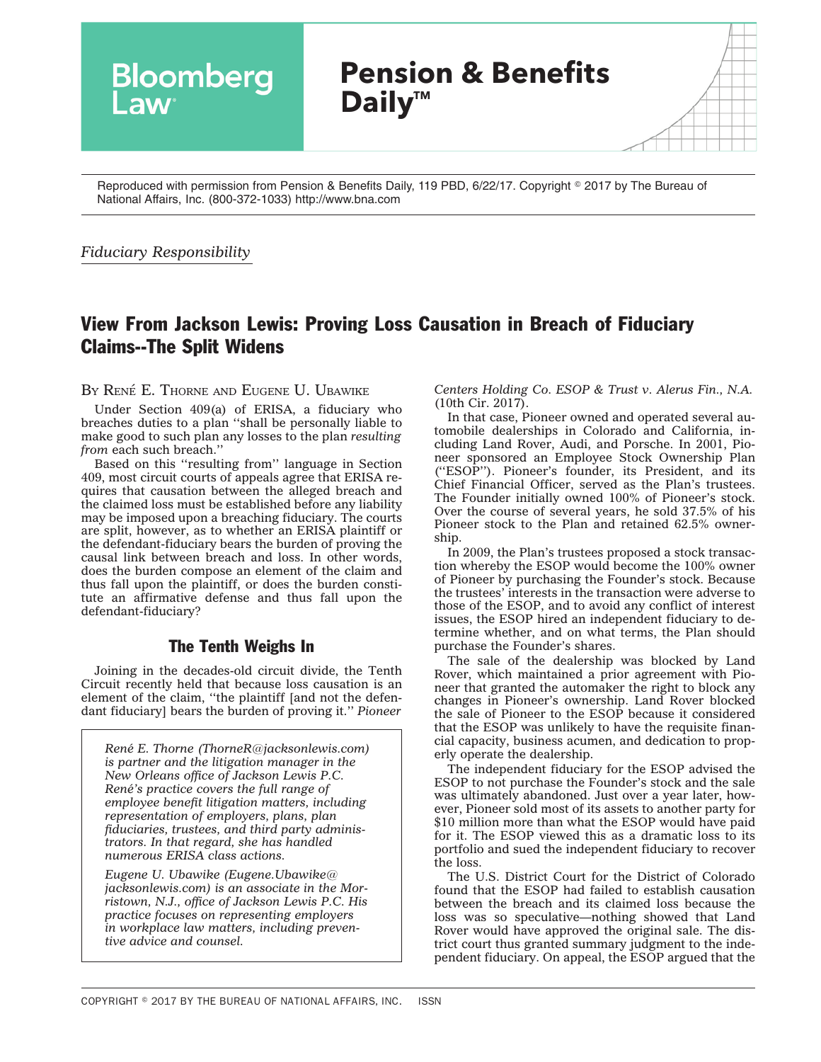

Reproduced with permission from Pension & Benefits Daily, 119 PBD, 6/22/17. Copyright © 2017 by The Bureau of National Affairs, Inc. (800-372-1033) http://www.bna.com

### *Fiduciary Responsibility*

# View From Jackson Lewis: Proving Loss Causation in Breach of Fiduciary Claims--The Split Widens

BY RENÉ E. THORNE AND EUGENE U. UBAWIKE

Under Section 409(a) of ERISA, a fiduciary who breaches duties to a plan ''shall be personally liable to make good to such plan any losses to the plan *resulting from* each such breach.''

Based on this ''resulting from'' language in Section 409, most circuit courts of appeals agree that ERISA requires that causation between the alleged breach and the claimed loss must be established before any liability may be imposed upon a breaching fiduciary. The courts are split, however, as to whether an ERISA plaintiff or the defendant-fiduciary bears the burden of proving the causal link between breach and loss. In other words, does the burden compose an element of the claim and thus fall upon the plaintiff, or does the burden constitute an affirmative defense and thus fall upon the defendant-fiduciary?

# The Tenth Weighs In

Joining in the decades-old circuit divide, the Tenth Circuit recently held that because loss causation is an element of the claim, ''the plaintiff [and not the defendant fiduciary] bears the burden of proving it.'' *Pioneer*

*Rene´ E. Thorne [\(ThorneR@jacksonlewis.com\)](mailto:ThorneR@jacksonlewis.com) is partner and the litigation manager in the New Orleans office of Jackson Lewis P.C. Rene´'s practice covers the full range of employee benefit litigation matters, including representation of employers, plans, plan fiduciaries, trustees, and third party administrators. In that regard, she has handled numerous ERISA class actions.*

*Eugene U. Ubawike ([Eugene.Ubawike@](mailto:Eugene.Ubawike@jacksonlewis.com) [jacksonlewis.com\)](mailto:Eugene.Ubawike@jacksonlewis.com) is an associate in the Morristown, N.J., office of Jackson Lewis P.C. His practice focuses on representing employers in workplace law matters, including preventive advice and counsel.*

*Centers Holding Co. ESOP & Trust v. Alerus Fin., N.A.* (10th Cir. 2017).

In that case, Pioneer owned and operated several automobile dealerships in Colorado and California, including Land Rover, Audi, and Porsche. In 2001, Pioneer sponsored an Employee Stock Ownership Plan (''ESOP''). Pioneer's founder, its President, and its Chief Financial Officer, served as the Plan's trustees. The Founder initially owned 100% of Pioneer's stock. Over the course of several years, he sold 37.5% of his Pioneer stock to the Plan and retained 62.5% ownership.

In 2009, the Plan's trustees proposed a stock transaction whereby the ESOP would become the 100% owner of Pioneer by purchasing the Founder's stock. Because the trustees' interests in the transaction were adverse to those of the ESOP, and to avoid any conflict of interest issues, the ESOP hired an independent fiduciary to determine whether, and on what terms, the Plan should purchase the Founder's shares.

The sale of the dealership was blocked by Land Rover, which maintained a prior agreement with Pioneer that granted the automaker the right to block any changes in Pioneer's ownership. Land Rover blocked the sale of Pioneer to the ESOP because it considered that the ESOP was unlikely to have the requisite financial capacity, business acumen, and dedication to properly operate the dealership.

The independent fiduciary for the ESOP advised the ESOP to not purchase the Founder's stock and the sale was ultimately abandoned. Just over a year later, however, Pioneer sold most of its assets to another party for \$10 million more than what the ESOP would have paid for it. The ESOP viewed this as a dramatic loss to its portfolio and sued the independent fiduciary to recover the loss.

The U.S. District Court for the District of Colorado found that the ESOP had failed to establish causation between the breach and its claimed loss because the loss was so speculative—nothing showed that Land Rover would have approved the original sale. The district court thus granted summary judgment to the independent fiduciary. On appeal, the ESOP argued that the